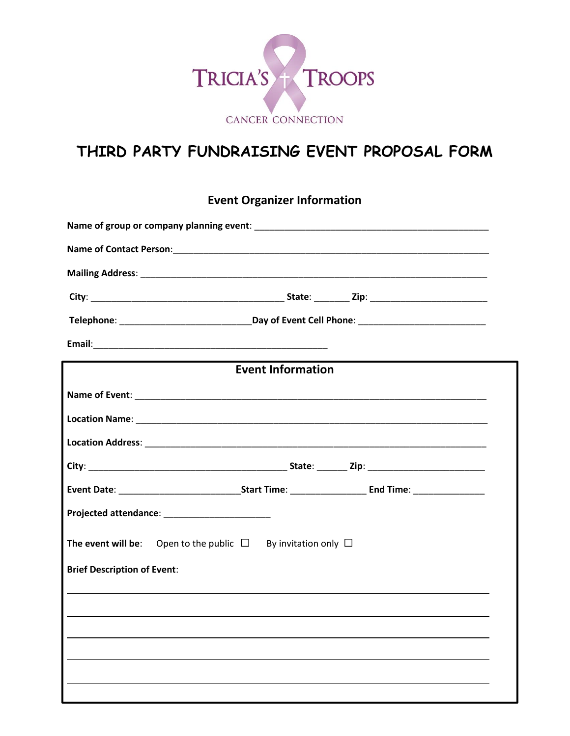

## **THIRD PARTY FUNDRAISING EVENT PROPOSAL FORM**

**Event Organizer Information**

| <b>Event Information</b>                                                      |
|-------------------------------------------------------------------------------|
|                                                                               |
|                                                                               |
|                                                                               |
|                                                                               |
|                                                                               |
|                                                                               |
| <b>The event will be:</b> Open to the public $\Box$ By invitation only $\Box$ |
| <b>Brief Description of Event:</b>                                            |
|                                                                               |
|                                                                               |
|                                                                               |
|                                                                               |
|                                                                               |